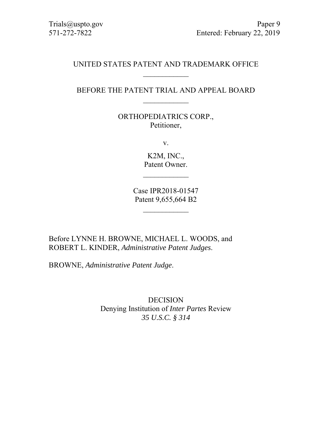# UNITED STATES PATENT AND TRADEMARK OFFICE  $\frac{1}{2}$

## BEFORE THE PATENT TRIAL AND APPEAL BOARD  $\mathcal{L}_\text{max}$

ORTHOPEDIATRICS CORP., Petitioner,

v.

K2M, INC., Patent Owner.

Case IPR2018-01547 Patent 9,655,664 B2

Before LYNNE H. BROWNE, MICHAEL L. WOODS, and ROBERT L. KINDER, *Administrative Patent Judges*.

BROWNE, *Administrative Patent Judge*.

DECISION Denying Institution of *Inter Partes* Review *35 U.S.C. § 314*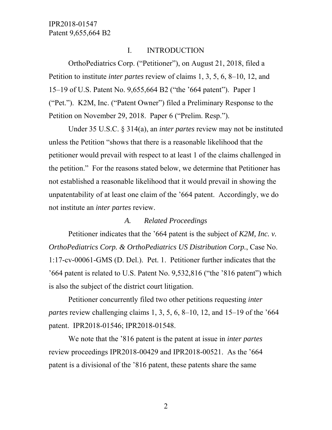### I. INTRODUCTION

OrthoPediatrics Corp. ("Petitioner"), on August 21, 2018, filed a Petition to institute *inter partes* review of claims 1, 3, 5, 6, 8–10, 12, and 15–19 of U.S. Patent No. 9,655,664 B2 ("the '664 patent"). Paper 1 ("Pet."). K2M, Inc. ("Patent Owner") filed a Preliminary Response to the Petition on November 29, 2018. Paper 6 ("Prelim. Resp.").

Under 35 U.S.C. § 314(a), an *inter partes* review may not be instituted unless the Petition "shows that there is a reasonable likelihood that the petitioner would prevail with respect to at least 1 of the claims challenged in the petition." For the reasons stated below, we determine that Petitioner has not established a reasonable likelihood that it would prevail in showing the unpatentability of at least one claim of the '664 patent. Accordingly, we do not institute an *inter partes* review.

### *A. Related Proceedings*

Petitioner indicates that the '664 patent is the subject of *K2M, Inc. v. OrthoPediatrics Corp. & OrthoPediatrics US Distribution Corp.*, Case No. 1:17-cv-00061-GMS (D. Del.). Pet. 1. Petitioner further indicates that the '664 patent is related to U.S. Patent No. 9,532,816 ("the '816 patent") which is also the subject of the district court litigation.

Petitioner concurrently filed two other petitions requesting *inter partes* review challenging claims 1, 3, 5, 6, 8–10, 12, and 15–19 of the '664 patent. IPR2018-01546; IPR2018-01548.

We note that the '816 patent is the patent at issue in *inter partes* review proceedings IPR2018-00429 and IPR2018-00521. As the '664 patent is a divisional of the '816 patent, these patents share the same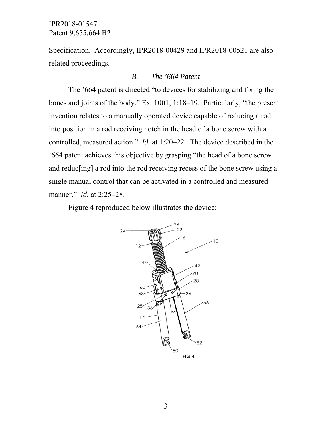Specification. Accordingly, IPR2018-00429 and IPR2018-00521 are also related proceedings.

### *B. The '664 Patent*

The '664 patent is directed "to devices for stabilizing and fixing the bones and joints of the body." Ex. 1001, 1:18–19. Particularly, "the present invention relates to a manually operated device capable of reducing a rod into position in a rod receiving notch in the head of a bone screw with a controlled, measured action." *Id.* at 1:20–22. The device described in the '664 patent achieves this objective by grasping "the head of a bone screw and reduc[ing] a rod into the rod receiving recess of the bone screw using a single manual control that can be activated in a controlled and measured manner." *Id.* at 2:25–28.

Figure 4 reproduced below illustrates the device:

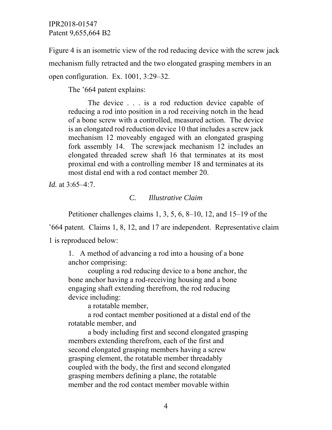Figure 4 is an isometric view of the rod reducing device with the screw jack mechanism fully retracted and the two elongated grasping members in an open configuration. Ex. 1001, 3:29–32.

The '664 patent explains:

The device . . . is a rod reduction device capable of reducing a rod into position in a rod receiving notch in the head of a bone screw with a controlled, measured action. The device is an elongated rod reduction device 10 that includes a screw jack mechanism 12 moveably engaged with an elongated grasping fork assembly 14. The screwjack mechanism 12 includes an elongated threaded screw shaft 16 that terminates at its most proximal end with a controlling member 18 and terminates at its most distal end with a rod contact member 20.

*Id.* at 3:65–4:7.

### *C. Illustrative Claim*

Petitioner challenges claims 1, 3, 5, 6, 8–10, 12, and 15–19 of the

'664 patent. Claims 1, 8, 12, and 17 are independent. Representative claim 1 is reproduced below:

1. A method of advancing a rod into a housing of a bone anchor comprising:

coupling a rod reducing device to a bone anchor, the bone anchor having a rod-receiving housing and a bone engaging shaft extending therefrom, the rod reducing device including:

a rotatable member,

a rod contact member positioned at a distal end of the rotatable member, and

a body including first and second elongated grasping members extending therefrom, each of the first and second elongated grasping members having a screw grasping element, the rotatable member threadably coupled with the body, the first and second elongated grasping members defining a plane, the rotatable member and the rod contact member movable within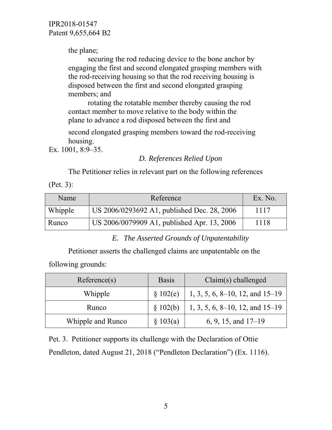the plane;

securing the rod reducing device to the bone anchor by engaging the first and second elongated grasping members with the rod-receiving housing so that the rod receiving housing is disposed between the first and second elongated grasping members; and

rotating the rotatable member thereby causing the rod contact member to move relative to the body within the plane to advance a rod disposed between the first and

second elongated grasping members toward the rod-receiving housing.

Ex. 1001, 8:9–35.

### *D. References Relied Upon*

The Petitioner relies in relevant part on the following references

(Pet. 3):

| Name    | Reference                                   | Ex. No. |
|---------|---------------------------------------------|---------|
| Whipple | US 2006/0293692 A1, published Dec. 28, 2006 | 1117    |
| Runco   | US 2006/0079909 A1, published Apr. 13, 2006 | 1118    |

*E. The Asserted Grounds of Unpatentability* 

Petitioner asserts the challenged claims are unpatentable on the

following grounds:

| Reference(s)      | <b>Basis</b> | $Claim(s)$ challenged                   |  |
|-------------------|--------------|-----------------------------------------|--|
| Whipple           | \$102(e)     | $1, 3, 5, 6, 8\n-10, 12,$ and $15\n-19$ |  |
| Runco             | \$102(b)     | $1, 3, 5, 6, 8\n-10, 12,$ and $15\n-19$ |  |
| Whipple and Runco | $\S 103(a)$  | 6, 9, 15, and $17-19$                   |  |

Pet. 3. Petitioner supports its challenge with the Declaration of Ottie Pendleton, dated August 21, 2018 ("Pendleton Declaration") (Ex. 1116).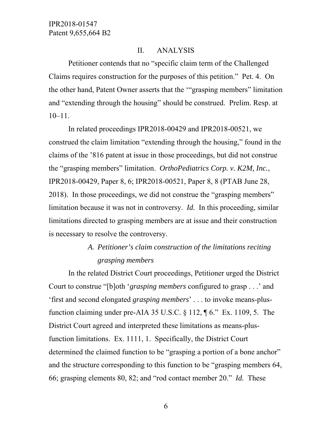### II. ANALYSIS

Petitioner contends that no "specific claim term of the Challenged Claims requires construction for the purposes of this petition." Pet. 4. On the other hand, Patent Owner asserts that the '"grasping members" limitation and "extending through the housing" should be construed. Prelim. Resp. at 10–11.

In related proceedings IPR2018-00429 and IPR2018-00521, we construed the claim limitation "extending through the housing," found in the claims of the '816 patent at issue in those proceedings, but did not construe the "grasping members" limitation. *OrthoPediatrics Corp. v. K2M, Inc.*, IPR2018-00429, Paper 8, 6; IPR2018-00521, Paper 8, 8 (PTAB June 28, 2018). In those proceedings, we did not construe the "grasping members" limitation because it was not in controversy. *Id.* In this proceeding, similar limitations directed to grasping members are at issue and their construction is necessary to resolve the controversy.

# *A. Petitioner's claim construction of the limitations reciting grasping members*

In the related District Court proceedings, Petitioner urged the District Court to construe "[b]oth '*grasping members* configured to grasp . . .' and 'first and second elongated *grasping members*' . . . to invoke means-plusfunction claiming under pre-AIA 35 U.S.C. § 112, ¶ 6." Ex. 1109, 5. The District Court agreed and interpreted these limitations as means-plusfunction limitations. Ex. 1111, 1. Specifically, the District Court determined the claimed function to be "grasping a portion of a bone anchor" and the structure corresponding to this function to be "grasping members 64, 66; grasping elements 80, 82; and "rod contact member 20." *Id.* These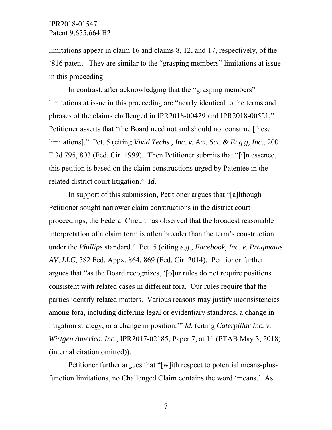limitations appear in claim 16 and claims 8, 12, and 17, respectively, of the '816 patent. They are similar to the "grasping members" limitations at issue in this proceeding.

In contrast, after acknowledging that the "grasping members" limitations at issue in this proceeding are "nearly identical to the terms and phrases of the claims challenged in IPR2018-00429 and IPR2018-00521," Petitioner asserts that "the Board need not and should not construe [these limitations]." Pet. 5 (citing *Vivid Techs., Inc. v. Am. Sci. & Eng'g, Inc*., 200 F.3d 795, 803 (Fed. Cir. 1999). Then Petitioner submits that "[i]n essence, this petition is based on the claim constructions urged by Patentee in the related district court litigation." *Id.*

In support of this submission, Petitioner argues that "[a]lthough Petitioner sought narrower claim constructions in the district court proceedings, the Federal Circuit has observed that the broadest reasonable interpretation of a claim term is often broader than the term's construction under the *Phillips* standard." Pet. 5 (citing *e.g*., *Facebook, Inc. v. Pragmatus AV, LLC*, 582 Fed. Appx. 864, 869 (Fed. Cir. 2014). Petitioner further argues that "as the Board recognizes, '[o]ur rules do not require positions consistent with related cases in different fora. Our rules require that the parties identify related matters. Various reasons may justify inconsistencies among fora, including differing legal or evidentiary standards, a change in litigation strategy, or a change in position.'" *Id.* (citing *Caterpillar Inc. v. Wirtgen America, Inc.*, IPR2017-02185, Paper 7, at 11 (PTAB May 3, 2018) (internal citation omitted)).

Petitioner further argues that "[w]ith respect to potential means-plusfunction limitations, no Challenged Claim contains the word 'means.' As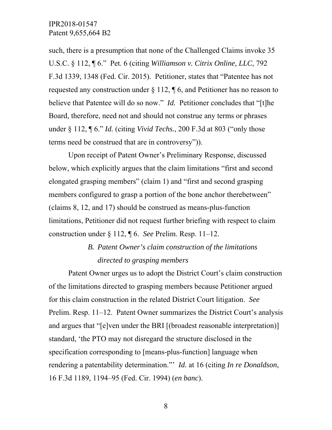such, there is a presumption that none of the Challenged Claims invoke 35 U.S.C. § 112, ¶ 6." Pet. 6 (citing *Williamson v. Citrix Online, LLC*, 792 F.3d 1339, 1348 (Fed. Cir. 2015). Petitioner, states that "Patentee has not requested any construction under  $\S 112$ ,  $\P 6$ , and Petitioner has no reason to believe that Patentee will do so now." *Id.* Petitioner concludes that "[t]he Board, therefore, need not and should not construe any terms or phrases under § 112, ¶ 6." *Id.* (citing *Vivid Techs.*, 200 F.3d at 803 ("only those terms need be construed that are in controversy")).

Upon receipt of Patent Owner's Preliminary Response, discussed below, which explicitly argues that the claim limitations "first and second elongated grasping members" (claim 1) and "first and second grasping members configured to grasp a portion of the bone anchor therebetween" (claims 8, 12, and 17) should be construed as means-plus-function limitations, Petitioner did not request further briefing with respect to claim construction under § 112, ¶ 6. *See* Prelim. Resp. 11–12.

# *B. Patent Owner's claim construction of the limitations directed to grasping members*

Patent Owner urges us to adopt the District Court's claim construction of the limitations directed to grasping members because Petitioner argued for this claim construction in the related District Court litigation. *See*  Prelim. Resp. 11–12. Patent Owner summarizes the District Court's analysis and argues that "[e]ven under the BRI [(broadest reasonable interpretation)] standard, 'the PTO may not disregard the structure disclosed in the specification corresponding to [means-plus-function] language when rendering a patentability determination."' *Id.* at 16 (citing *In re Donaldson*, 16 F.3d 1189, 1194–95 (Fed. Cir. 1994) (*en banc*).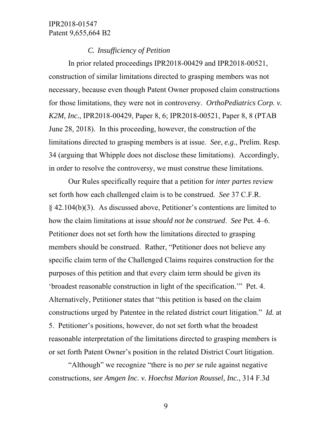### *C. Insufficiency of Petition*

In prior related proceedings IPR2018-00429 and IPR2018-00521, construction of similar limitations directed to grasping members was not necessary, because even though Patent Owner proposed claim constructions for those limitations, they were not in controversy. *OrthoPediatrics Corp. v. K2M, Inc.*, IPR2018-00429, Paper 8, 6; IPR2018-00521, Paper 8, 8 (PTAB June 28, 2018). In this proceeding, however, the construction of the limitations directed to grasping members is at issue. *See*, *e.g.*, Prelim. Resp. 34 (arguing that Whipple does not disclose these limitations). Accordingly, in order to resolve the controversy, we must construe these limitations.

Our Rules specifically require that a petition for *inter partes* review set forth how each challenged claim is to be construed. *See* 37 C.F.R. § 42.104(b)(3). As discussed above, Petitioner's contentions are limited to how the claim limitations at issue *should not be construed*. *See* Pet. 4–6. Petitioner does not set forth how the limitations directed to grasping members should be construed. Rather, "Petitioner does not believe any specific claim term of the Challenged Claims requires construction for the purposes of this petition and that every claim term should be given its 'broadest reasonable construction in light of the specification.'" Pet. 4. Alternatively, Petitioner states that "this petition is based on the claim constructions urged by Patentee in the related district court litigation." *Id.* at 5. Petitioner's positions, however, do not set forth what the broadest reasonable interpretation of the limitations directed to grasping members is or set forth Patent Owner's position in the related District Court litigation.

"Although" we recognize "there is no *per se* rule against negative constructions, *see Amgen Inc. v. Hoechst Marion Roussel, Inc.*, 314 F.3d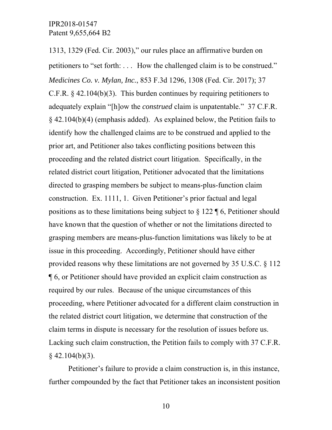1313, 1329 (Fed. Cir. 2003)," our rules place an affirmative burden on petitioners to "set forth: . . . How the challenged claim is to be construed." *Medicines Co. v. Mylan, Inc.*, 853 F.3d 1296, 1308 (Fed. Cir. 2017); 37 C.F.R.  $\S$  42.104(b)(3). This burden continues by requiring petitioners to adequately explain "[h]ow the *construed* claim is unpatentable." 37 C.F.R. § 42.104(b)(4) (emphasis added). As explained below, the Petition fails to identify how the challenged claims are to be construed and applied to the prior art, and Petitioner also takes conflicting positions between this proceeding and the related district court litigation. Specifically, in the related district court litigation, Petitioner advocated that the limitations directed to grasping members be subject to means-plus-function claim construction. Ex. 1111, 1. Given Petitioner's prior factual and legal positions as to these limitations being subject to § 122 ¶ 6, Petitioner should have known that the question of whether or not the limitations directed to grasping members are means-plus-function limitations was likely to be at issue in this proceeding. Accordingly, Petitioner should have either provided reasons why these limitations are not governed by 35 U.S.C. § 112 ¶ 6, or Petitioner should have provided an explicit claim construction as required by our rules. Because of the unique circumstances of this proceeding, where Petitioner advocated for a different claim construction in the related district court litigation, we determine that construction of the claim terms in dispute is necessary for the resolution of issues before us. Lacking such claim construction, the Petition fails to comply with 37 C.F.R.  $§$  42.104(b)(3).

Petitioner's failure to provide a claim construction is, in this instance, further compounded by the fact that Petitioner takes an inconsistent position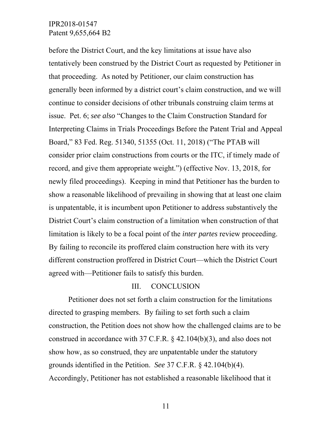before the District Court, and the key limitations at issue have also tentatively been construed by the District Court as requested by Petitioner in that proceeding. As noted by Petitioner, our claim construction has generally been informed by a district court's claim construction, and we will continue to consider decisions of other tribunals construing claim terms at issue. Pet. 6; *see also* "Changes to the Claim Construction Standard for Interpreting Claims in Trials Proceedings Before the Patent Trial and Appeal Board," 83 Fed. Reg. 51340, 51355 (Oct. 11, 2018) ("The PTAB will consider prior claim constructions from courts or the ITC, if timely made of record, and give them appropriate weight.") (effective Nov. 13, 2018, for newly filed proceedings). Keeping in mind that Petitioner has the burden to show a reasonable likelihood of prevailing in showing that at least one claim is unpatentable, it is incumbent upon Petitioner to address substantively the District Court's claim construction of a limitation when construction of that limitation is likely to be a focal point of the *inter partes* review proceeding. By failing to reconcile its proffered claim construction here with its very different construction proffered in District Court—which the District Court agreed with—Petitioner fails to satisfy this burden.

#### III. CONCLUSION

Petitioner does not set forth a claim construction for the limitations directed to grasping members. By failing to set forth such a claim construction, the Petition does not show how the challenged claims are to be construed in accordance with 37 C.F.R. § 42.104(b)(3), and also does not show how, as so construed, they are unpatentable under the statutory grounds identified in the Petition. *See* 37 C.F.R. § 42.104(b)(4). Accordingly, Petitioner has not established a reasonable likelihood that it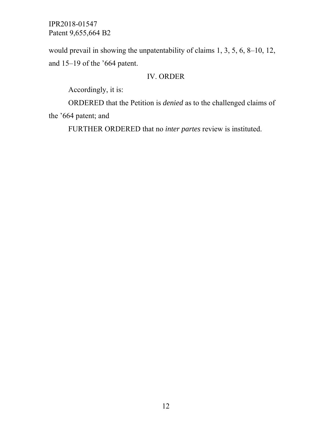would prevail in showing the unpatentability of claims 1, 3, 5, 6, 8–10, 12, and 15–19 of the '664 patent.

## IV. ORDER

Accordingly, it is:

ORDERED that the Petition is *denied* as to the challenged claims of the '664 patent; and

FURTHER ORDERED that no *inter partes* review is instituted.